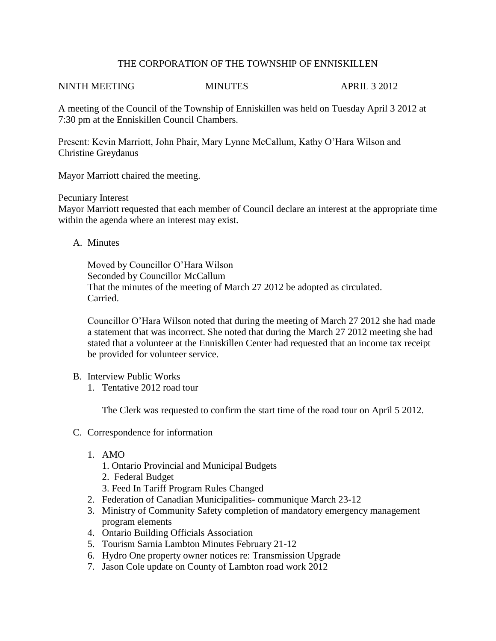## THE CORPORATION OF THE TOWNSHIP OF ENNISKILLEN

## NINTH MEETING MINUTES APRIL 3 2012

A meeting of the Council of the Township of Enniskillen was held on Tuesday April 3 2012 at 7:30 pm at the Enniskillen Council Chambers.

Present: Kevin Marriott, John Phair, Mary Lynne McCallum, Kathy O'Hara Wilson and Christine Greydanus

Mayor Marriott chaired the meeting.

## Pecuniary Interest

Mayor Marriott requested that each member of Council declare an interest at the appropriate time within the agenda where an interest may exist.

A. Minutes

Moved by Councillor O'Hara Wilson Seconded by Councillor McCallum That the minutes of the meeting of March 27 2012 be adopted as circulated. Carried.

Councillor O'Hara Wilson noted that during the meeting of March 27 2012 she had made a statement that was incorrect. She noted that during the March 27 2012 meeting she had stated that a volunteer at the Enniskillen Center had requested that an income tax receipt be provided for volunteer service.

- B. Interview Public Works
	- 1. Tentative 2012 road tour

The Clerk was requested to confirm the start time of the road tour on April 5 2012.

- C. Correspondence for information
	- 1. AMO
		- 1. Ontario Provincial and Municipal Budgets
		- 2. Federal Budget
		- 3. Feed In Tariff Program Rules Changed
	- 2. Federation of Canadian Municipalities- communique March 23-12
	- 3. Ministry of Community Safety completion of mandatory emergency management program elements
	- 4. Ontario Building Officials Association
	- 5. Tourism Sarnia Lambton Minutes February 21-12
	- 6. Hydro One property owner notices re: Transmission Upgrade
	- 7. Jason Cole update on County of Lambton road work 2012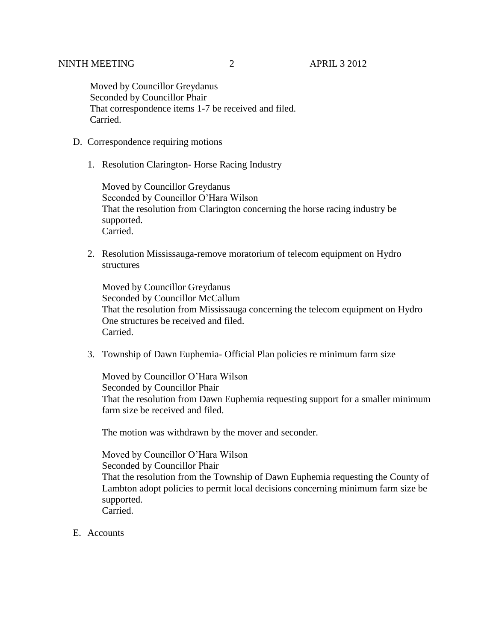Moved by Councillor Greydanus Seconded by Councillor Phair That correspondence items 1-7 be received and filed. Carried.

- D. Correspondence requiring motions
	- 1. Resolution Clarington- Horse Racing Industry

Moved by Councillor Greydanus Seconded by Councillor O'Hara Wilson That the resolution from Clarington concerning the horse racing industry be supported. Carried.

2. Resolution Mississauga-remove moratorium of telecom equipment on Hydro structures

Moved by Councillor Greydanus Seconded by Councillor McCallum That the resolution from Mississauga concerning the telecom equipment on Hydro One structures be received and filed. Carried.

3. Township of Dawn Euphemia- Official Plan policies re minimum farm size

Moved by Councillor O'Hara Wilson Seconded by Councillor Phair That the resolution from Dawn Euphemia requesting support for a smaller minimum farm size be received and filed.

The motion was withdrawn by the mover and seconder.

Moved by Councillor O'Hara Wilson Seconded by Councillor Phair That the resolution from the Township of Dawn Euphemia requesting the County of Lambton adopt policies to permit local decisions concerning minimum farm size be supported. Carried.

E. Accounts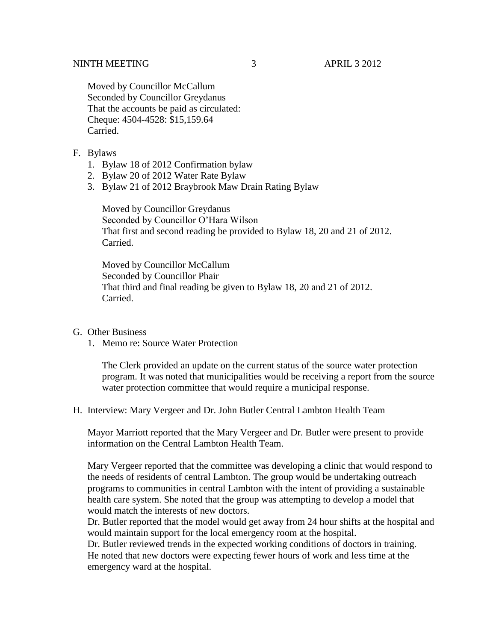Moved by Councillor McCallum Seconded by Councillor Greydanus That the accounts be paid as circulated: Cheque: 4504-4528: \$15,159.64 Carried.

- F. Bylaws
	- 1. Bylaw 18 of 2012 Confirmation bylaw
	- 2. Bylaw 20 of 2012 Water Rate Bylaw
	- 3. Bylaw 21 of 2012 Braybrook Maw Drain Rating Bylaw

Moved by Councillor Greydanus Seconded by Councillor O'Hara Wilson That first and second reading be provided to Bylaw 18, 20 and 21 of 2012. Carried.

Moved by Councillor McCallum Seconded by Councillor Phair That third and final reading be given to Bylaw 18, 20 and 21 of 2012. Carried.

- G. Other Business
	- 1. Memo re: Source Water Protection

The Clerk provided an update on the current status of the source water protection program. It was noted that municipalities would be receiving a report from the source water protection committee that would require a municipal response.

H. Interview: Mary Vergeer and Dr. John Butler Central Lambton Health Team

Mayor Marriott reported that the Mary Vergeer and Dr. Butler were present to provide information on the Central Lambton Health Team.

Mary Vergeer reported that the committee was developing a clinic that would respond to the needs of residents of central Lambton. The group would be undertaking outreach programs to communities in central Lambton with the intent of providing a sustainable health care system. She noted that the group was attempting to develop a model that would match the interests of new doctors.

Dr. Butler reported that the model would get away from 24 hour shifts at the hospital and would maintain support for the local emergency room at the hospital.

Dr. Butler reviewed trends in the expected working conditions of doctors in training. He noted that new doctors were expecting fewer hours of work and less time at the emergency ward at the hospital.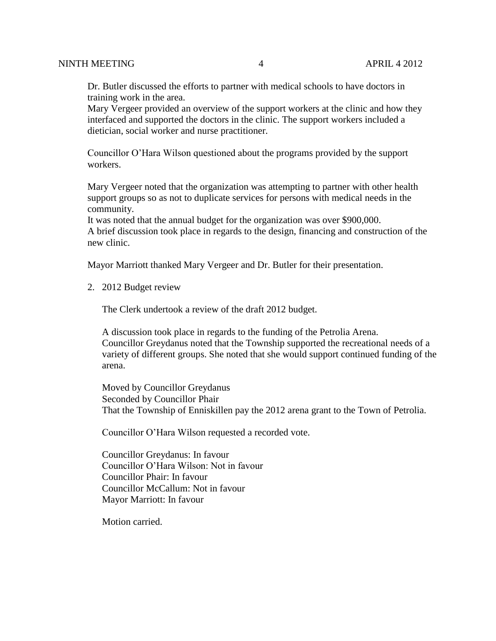Dr. Butler discussed the efforts to partner with medical schools to have doctors in training work in the area.

Mary Vergeer provided an overview of the support workers at the clinic and how they interfaced and supported the doctors in the clinic. The support workers included a dietician, social worker and nurse practitioner.

Councillor O'Hara Wilson questioned about the programs provided by the support workers.

Mary Vergeer noted that the organization was attempting to partner with other health support groups so as not to duplicate services for persons with medical needs in the community.

It was noted that the annual budget for the organization was over \$900,000. A brief discussion took place in regards to the design, financing and construction of the new clinic.

Mayor Marriott thanked Mary Vergeer and Dr. Butler for their presentation.

2. 2012 Budget review

The Clerk undertook a review of the draft 2012 budget.

A discussion took place in regards to the funding of the Petrolia Arena. Councillor Greydanus noted that the Township supported the recreational needs of a variety of different groups. She noted that she would support continued funding of the arena.

Moved by Councillor Greydanus Seconded by Councillor Phair That the Township of Enniskillen pay the 2012 arena grant to the Town of Petrolia.

Councillor O'Hara Wilson requested a recorded vote.

Councillor Greydanus: In favour Councillor O'Hara Wilson: Not in favour Councillor Phair: In favour Councillor McCallum: Not in favour Mayor Marriott: In favour

Motion carried.